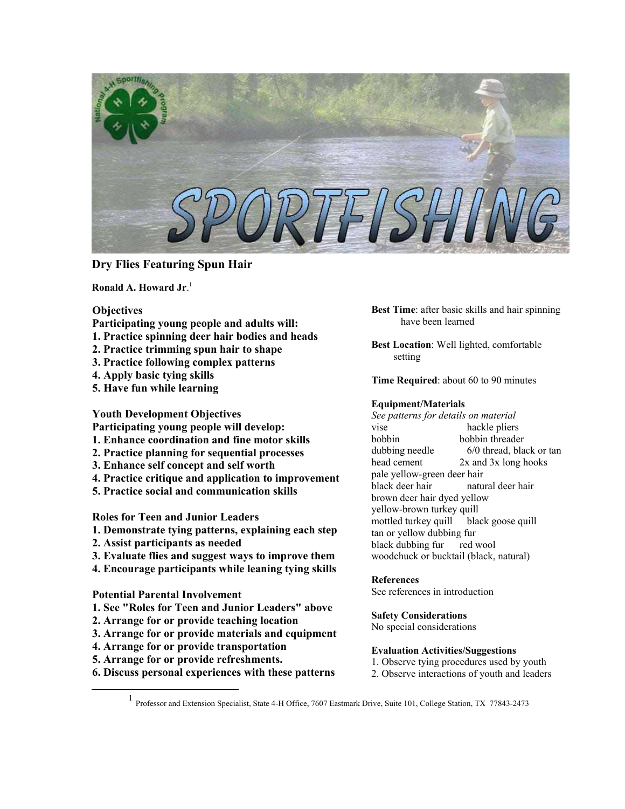

# **Dry Flies Featuring Spun Hair**

**Ronald A. Howard Jr**. [1](#page-0-0)

# **Objectives**

- **Participating young people and adults will:**
- **1. Practice spinning deer hair bodies and heads**
- **2. Practice trimming spun hair to shape**
- **3. Practice following complex patterns**
- **4. Apply basic tying skills**
- **5. Have fun while learning**

**Youth Development Objectives** 

**Participating young people will develop:** 

- **1. Enhance coordination and fine motor skills**
- **2. Practice planning for sequential processes**
- **3. Enhance self concept and self worth**
- **4. Practice critique and application to improvement**
- **5. Practice social and communication skills**

**Roles for Teen and Junior Leaders** 

- **1. Demonstrate tying patterns, explaining each step**
- **2. Assist participants as needed**
- **3. Evaluate flies and suggest ways to improve them**
- **4. Encourage participants while leaning tying skills**

### **Potential Parental Involvement**

- **1. See "Roles for Teen and Junior Leaders" above**
- **2. Arrange for or provide teaching location**
- **3. Arrange for or provide materials and equipment**
- **4. Arrange for or provide transportation**
- **5. Arrange for or provide refreshments.**
- **6. Discuss personal experiences with these patterns**

**Best Time**: after basic skills and hair spinning have been learned

**Best Location**: Well lighted, comfortable setting

**Time Required**: about 60 to 90 minutes

# **Equipment/Materials**

*See patterns for details on material* vise hackle pliers bobbin bobbin threader dubbing needle 6/0 thread, black or tan head cement 2x and 3x long hooks pale yellow-green deer hair black deer hair natural deer hair brown deer hair dyed yellow yellow-brown turkey quill mottled turkey quill black goose quill tan or yellow dubbing fur black dubbing fur red wool woodchuck or bucktail (black, natural)

### **References**

See references in introduction

**Safety Considerations**

No special considerations

# **Evaluation Activities/Suggestions**

- 1. Observe tying procedures used by youth
- 2. Observe interactions of youth and leaders

<span id="page-0-0"></span><u>1</u> Professor and Extension Specialist, State 4-H Office, 7607 Eastmark Drive, Suite 101, College Station, TX 77843-2473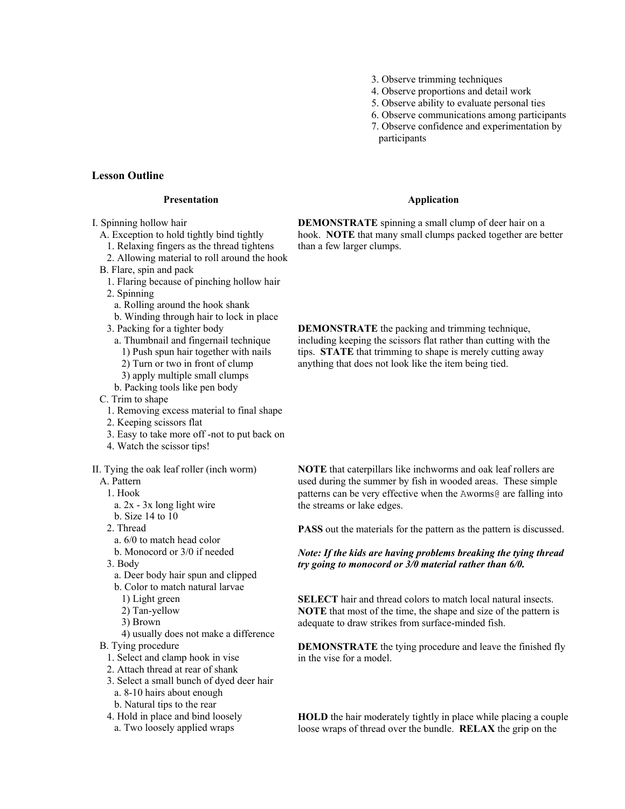- 3. Observe trimming techniques
- 4. Observe proportions and detail work
- 5. Observe ability to evaluate personal ties
- 6. Observe communications among participants 7. Observe confidence and experimentation by
- participants

#### **Lesson Outline**

#### **Presentation**

- I. Spinning hollow hair
	- A. Exception to hold tightly bind tightly
		- 1. Relaxing fingers as the thread tightens
		- 2. Allowing material to roll around the hook
	- B. Flare, spin and pack
		- 1. Flaring because of pinching hollow hair
		- 2. Spinning
			- a. Rolling around the hook shank
		- b. Winding through hair to lock in place
		- 3. Packing for a tighter body
			- a. Thumbnail and fingernail technique
				- 1) Push spun hair together with nails
				- 2) Turn or two in front of clump
				- 3) apply multiple small clumps
			- b. Packing tools like pen body
	- C. Trim to shape
		- 1. Removing excess material to final shape
		- 2. Keeping scissors flat
	- 3. Easy to take more off -not to put back on
	- 4. Watch the scissor tips!
- II. Tying the oak leaf roller (inch worm)
	- A. Pattern
		- 1. Hook
		- a. 2x 3x long light wire
		- b. Size 14 to 10
		- 2. Thread
			- a. 6/0 to match head color
			- b. Monocord or 3/0 if needed
		- 3. Body
			- a. Deer body hair spun and clipped
			- b. Color to match natural larvae
				- 1) Light green
				- 2) Tan-yellow
				- 3) Brown
				- 4) usually does not make a difference
	- B. Tying procedure
		- 1. Select and clamp hook in vise
		- 2. Attach thread at rear of shank
		- 3. Select a small bunch of dyed deer hair
			- a. 8-10 hairs about enough
		- b. Natural tips to the rear
		- 4. Hold in place and bind loosely
			- a. Two loosely applied wraps

#### **Application**

**DEMONSTRATE** spinning a small clump of deer hair on a hook. **NOTE** that many small clumps packed together are better than a few larger clumps.

**DEMONSTRATE** the packing and trimming technique, including keeping the scissors flat rather than cutting with the tips. **STATE** that trimming to shape is merely cutting away anything that does not look like the item being tied.

**NOTE** that caterpillars like inchworms and oak leaf rollers are used during the summer by fish in wooded areas. These simple patterns can be very effective when the Aworms@ are falling into the streams or lake edges.

**PASS** out the materials for the pattern as the pattern is discussed.

*Note: If the kids are having problems breaking the tying thread try going to monocord or 3/0 material rather than 6/0.*

**SELECT** hair and thread colors to match local natural insects. **NOTE** that most of the time, the shape and size of the pattern is adequate to draw strikes from surface-minded fish.

**DEMONSTRATE** the tying procedure and leave the finished fly in the vise for a model.

**HOLD** the hair moderately tightly in place while placing a couple loose wraps of thread over the bundle. **RELAX** the grip on the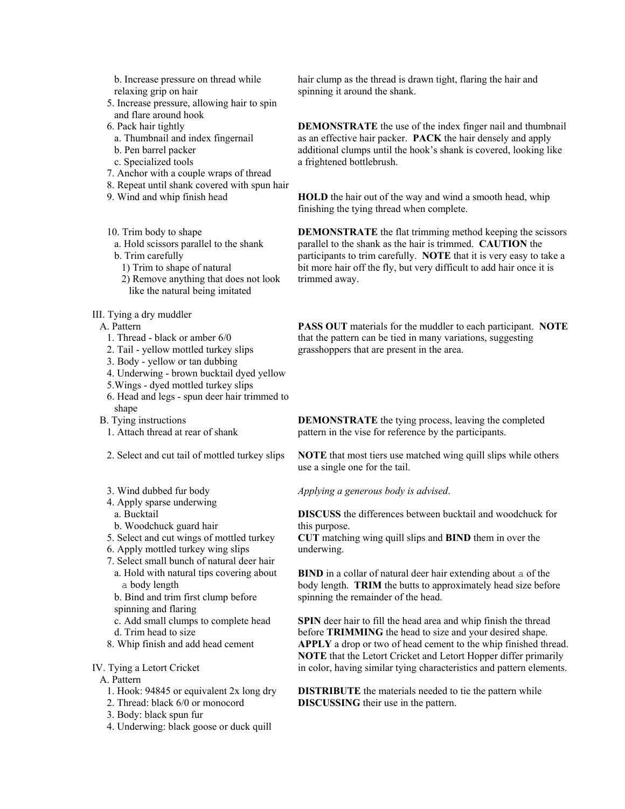- b. Increase pressure on thread while relaxing grip on hair
- 5. Increase pressure, allowing hair to spin and flare around hook
- 6. Pack hair tightly
- a. Thumbnail and index fingernail
- b. Pen barrel packer
- c. Specialized tools
- 7. Anchor with a couple wraps of thread
- 8. Repeat until shank covered with spun hair
- 9. Wind and whip finish head
- 10. Trim body to shape
- a. Hold scissors parallel to the shank
- b. Trim carefully
	- 1) Trim to shape of natural
	- 2) Remove anything that does not look like the natural being imitated
- III. Tying a dry muddler
	- A. Pattern
		- 1. Thread black or amber 6/0
		- 2. Tail yellow mottled turkey slips
		- 3. Body yellow or tan dubbing
		- 4. Underwing brown bucktail dyed yellow
		- 5.Wings dyed mottled turkey slips
		- 6. Head and legs spun deer hair trimmed to shape
	- B. Tying instructions
	- 1. Attach thread at rear of shank
	- 2. Select and cut tail of mottled turkey slips
	- 3. Wind dubbed fur body
	- 4. Apply sparse underwing
	- a. Bucktail
	- b. Woodchuck guard hair
	- 5. Select and cut wings of mottled turkey
	- 6. Apply mottled turkey wing slips
	- 7. Select small bunch of natural deer hair
		- a. Hold with natural tips covering about a body length
		- b. Bind and trim first clump before spinning and flaring
		- c. Add small clumps to complete head
		- d. Trim head to size
	- 8. Whip finish and add head cement

# IV. Tying a Letort Cricket

- A. Pattern
	- 1. Hook: 94845 or equivalent 2x long dry
	- 2. Thread: black 6/0 or monocord
	- 3. Body: black spun fur
	- 4. Underwing: black goose or duck quill

hair clump as the thread is drawn tight, flaring the hair and spinning it around the shank.

**DEMONSTRATE** the use of the index finger nail and thumbnail as an effective hair packer. **PACK** the hair densely and apply additional clumps until the hook's shank is covered, looking like a frightened bottlebrush.

**HOLD** the hair out of the way and wind a smooth head, whip finishing the tying thread when complete.

**DEMONSTRATE** the flat trimming method keeping the scissors parallel to the shank as the hair is trimmed. **CAUTION** the participants to trim carefully. **NOTE** that it is very easy to take a bit more hair off the fly, but very difficult to add hair once it is trimmed away.

**PASS OUT** materials for the muddler to each participant. **NOTE** that the pattern can be tied in many variations, suggesting grasshoppers that are present in the area.

**DEMONSTRATE** the tying process, leaving the completed pattern in the vise for reference by the participants.

**NOTE** that most tiers use matched wing quill slips while others use a single one for the tail.

*Applying a generous body is advised*.

**DISCUSS** the differences between bucktail and woodchuck for this purpose.

**CUT** matching wing quill slips and **BIND** them in over the underwing.

**BIND** in a collar of natural deer hair extending about a of the body length. **TRIM** the butts to approximately head size before spinning the remainder of the head.

**SPIN** deer hair to fill the head area and whip finish the thread before **TRIMMING** the head to size and your desired shape. **APPLY** a drop or two of head cement to the whip finished thread. **NOTE** that the Letort Cricket and Letort Hopper differ primarily in color, having similar tying characteristics and pattern elements.

**DISTRIBUTE** the materials needed to tie the pattern while **DISCUSSING** their use in the pattern.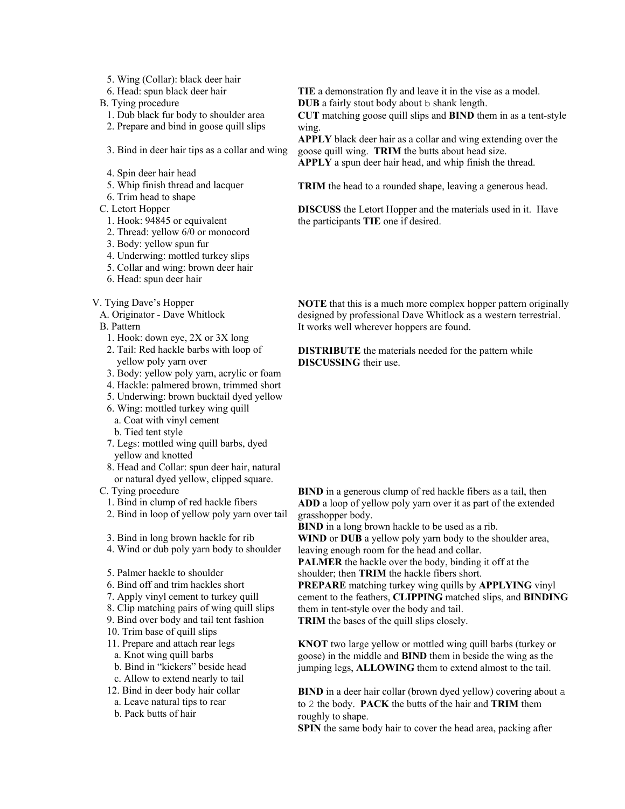- 5. Wing (Collar): black deer hair
- 6. Head: spun black deer hair
- B. Tying procedure
	- 1. Dub black fur body to shoulder area
	- 2. Prepare and bind in goose quill slips
	- 3. Bind in deer hair tips as a collar and wing
	- 4. Spin deer hair head
	- 5. Whip finish thread and lacquer
	- 6. Trim head to shape
- C. Letort Hopper
	- 1. Hook: 94845 or equivalent
	- 2. Thread: yellow 6/0 or monocord
	- 3. Body: yellow spun fur
	- 4. Underwing: mottled turkey slips
	- 5. Collar and wing: brown deer hair
- 6. Head: spun deer hair
- V. Tying Dave's Hopper
	- A. Originator Dave Whitlock
	- B. Pattern
		- 1. Hook: down eye, 2X or 3X long
		- 2. Tail: Red hackle barbs with loop of yellow poly yarn over
		- 3. Body: yellow poly yarn, acrylic or foam
		- 4. Hackle: palmered brown, trimmed short
		- 5. Underwing: brown bucktail dyed yellow
		- 6. Wing: mottled turkey wing quill
		- a. Coat with vinyl cement
		- b. Tied tent style
		- 7. Legs: mottled wing quill barbs, dyed yellow and knotted
		- 8. Head and Collar: spun deer hair, natural or natural dyed yellow, clipped square.
	- C. Tying procedure
		- 1. Bind in clump of red hackle fibers
		- 2. Bind in loop of yellow poly yarn over tail
		- 3. Bind in long brown hackle for rib
		- 4. Wind or dub poly yarn body to shoulder
		- 5. Palmer hackle to shoulder
		- 6. Bind off and trim hackles short
		- 7. Apply vinyl cement to turkey quill
		- 8. Clip matching pairs of wing quill slips
		- 9. Bind over body and tail tent fashion
		- 10. Trim base of quill slips
		- 11. Prepare and attach rear legs
		- a. Knot wing quill barbs
		- b. Bind in "kickers" beside head
		- c. Allow to extend nearly to tail
		- 12. Bind in deer body hair collar
		- a. Leave natural tips to rear
		- b. Pack butts of hair

**TIE** a demonstration fly and leave it in the vise as a model.

**DUB** a fairly stout body about b shank length.

**CUT** matching goose quill slips and **BIND** them in as a tent-style wing.

**APPLY** black deer hair as a collar and wing extending over the goose quill wing. **TRIM** the butts about head size.

**APPLY** a spun deer hair head, and whip finish the thread.

**TRIM** the head to a rounded shape, leaving a generous head.

**DISCUSS** the Letort Hopper and the materials used in it. Have the participants **TIE** one if desired.

**NOTE** that this is a much more complex hopper pattern originally designed by professional Dave Whitlock as a western terrestrial. It works well wherever hoppers are found.

**DISTRIBUTE** the materials needed for the pattern while **DISCUSSING** their use

**BIND** in a generous clump of red hackle fibers as a tail, then **ADD** a loop of yellow poly yarn over it as part of the extended grasshopper body.

**BIND** in a long brown hackle to be used as a rib.

**WIND** or **DUB** a yellow poly yarn body to the shoulder area, leaving enough room for the head and collar.

**PALMER** the hackle over the body, binding it off at the shoulder; then **TRIM** the hackle fibers short.

**PREPARE** matching turkey wing quills by **APPLYING** vinyl cement to the feathers, **CLIPPING** matched slips, and **BINDING** them in tent-style over the body and tail.

**TRIM** the bases of the quill slips closely.

**KNOT** two large yellow or mottled wing quill barbs (turkey or goose) in the middle and **BIND** them in beside the wing as the jumping legs, **ALLOWING** them to extend almost to the tail.

**BIND** in a deer hair collar (brown dyed yellow) covering about a to 2 the body. **PACK** the butts of the hair and **TRIM** them roughly to shape.

**SPIN** the same body hair to cover the head area, packing after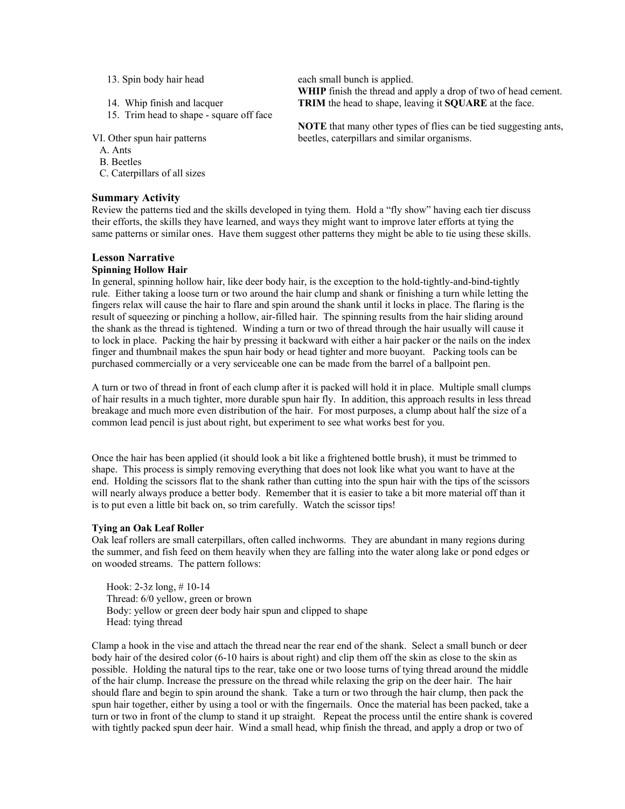- 13. Spin body hair head
- 14. Whip finish and lacquer
- 15. Trim head to shape square off face

VI. Other spun hair patterns

- A. Ants
- B. Beetles
- C. Caterpillars of all sizes

#### **Summary Activity**

each small bunch is applied. **WHIP** finish the thread and apply a drop of two of head cement. **TRIM** the head to shape, leaving it **SQUARE** at the face.

**NOTE** that many other types of flies can be tied suggesting ants, beetles, caterpillars and similar organisms.

Review the patterns tied and the skills developed in tying them. Hold a "fly show" having each tier discuss their efforts, the skills they have learned, and ways they might want to improve later efforts at tying the same patterns or similar ones. Have them suggest other patterns they might be able to tie using these skills.

#### **Lesson Narrative**

#### **Spinning Hollow Hair**

In general, spinning hollow hair, like deer body hair, is the exception to the hold-tightly-and-bind-tightly rule. Either taking a loose turn or two around the hair clump and shank or finishing a turn while letting the fingers relax will cause the hair to flare and spin around the shank until it locks in place. The flaring is the result of squeezing or pinching a hollow, air-filled hair. The spinning results from the hair sliding around the shank as the thread is tightened. Winding a turn or two of thread through the hair usually will cause it to lock in place. Packing the hair by pressing it backward with either a hair packer or the nails on the index finger and thumbnail makes the spun hair body or head tighter and more buoyant. Packing tools can be purchased commercially or a very serviceable one can be made from the barrel of a ballpoint pen.

A turn or two of thread in front of each clump after it is packed will hold it in place. Multiple small clumps of hair results in a much tighter, more durable spun hair fly. In addition, this approach results in less thread breakage and much more even distribution of the hair. For most purposes, a clump about half the size of a common lead pencil is just about right, but experiment to see what works best for you.

Once the hair has been applied (it should look a bit like a frightened bottle brush), it must be trimmed to shape. This process is simply removing everything that does not look like what you want to have at the end. Holding the scissors flat to the shank rather than cutting into the spun hair with the tips of the scissors will nearly always produce a better body. Remember that it is easier to take a bit more material off than it is to put even a little bit back on, so trim carefully. Watch the scissor tips!

#### **Tying an Oak Leaf Roller**

Oak leaf rollers are small caterpillars, often called inchworms. They are abundant in many regions during the summer, and fish feed on them heavily when they are falling into the water along lake or pond edges or on wooded streams. The pattern follows:

Hook: 2-3z long, # 10-14 Thread: 6/0 yellow, green or brown Body: yellow or green deer body hair spun and clipped to shape Head: tying thread

Clamp a hook in the vise and attach the thread near the rear end of the shank. Select a small bunch or deer body hair of the desired color (6-10 hairs is about right) and clip them off the skin as close to the skin as possible. Holding the natural tips to the rear, take one or two loose turns of tying thread around the middle of the hair clump. Increase the pressure on the thread while relaxing the grip on the deer hair. The hair should flare and begin to spin around the shank. Take a turn or two through the hair clump, then pack the spun hair together, either by using a tool or with the fingernails. Once the material has been packed, take a turn or two in front of the clump to stand it up straight. Repeat the process until the entire shank is covered with tightly packed spun deer hair. Wind a small head, whip finish the thread, and apply a drop or two of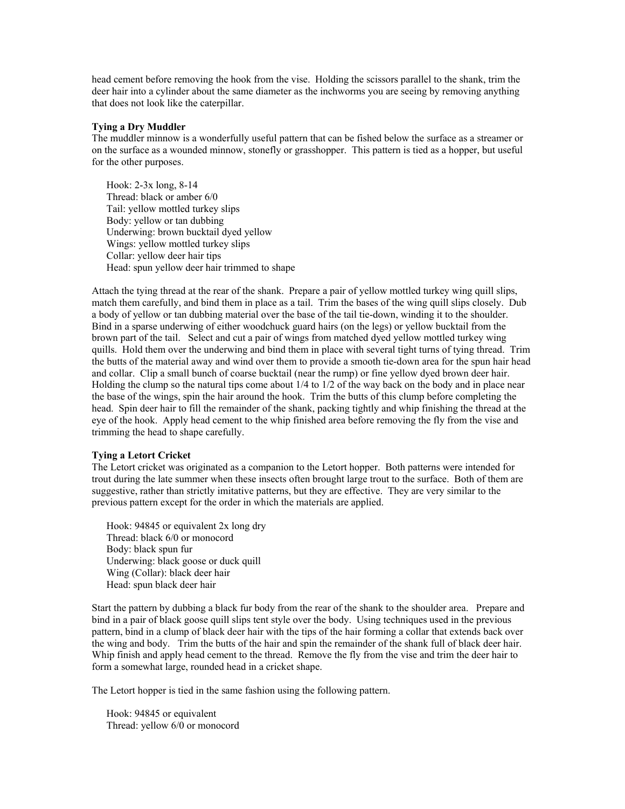head cement before removing the hook from the vise. Holding the scissors parallel to the shank, trim the deer hair into a cylinder about the same diameter as the inchworms you are seeing by removing anything that does not look like the caterpillar.

#### **Tying a Dry Muddler**

The muddler minnow is a wonderfully useful pattern that can be fished below the surface as a streamer or on the surface as a wounded minnow, stonefly or grasshopper. This pattern is tied as a hopper, but useful for the other purposes.

Hook: 2-3x long, 8-14 Thread: black or amber 6/0 Tail: yellow mottled turkey slips Body: yellow or tan dubbing Underwing: brown bucktail dyed yellow Wings: yellow mottled turkey slips Collar: yellow deer hair tips Head: spun yellow deer hair trimmed to shape

Attach the tying thread at the rear of the shank. Prepare a pair of yellow mottled turkey wing quill slips, match them carefully, and bind them in place as a tail. Trim the bases of the wing quill slips closely. Dub a body of yellow or tan dubbing material over the base of the tail tie-down, winding it to the shoulder. Bind in a sparse underwing of either woodchuck guard hairs (on the legs) or yellow bucktail from the brown part of the tail. Select and cut a pair of wings from matched dyed yellow mottled turkey wing quills. Hold them over the underwing and bind them in place with several tight turns of tying thread. Trim the butts of the material away and wind over them to provide a smooth tie-down area for the spun hair head and collar. Clip a small bunch of coarse bucktail (near the rump) or fine yellow dyed brown deer hair. Holding the clump so the natural tips come about 1/4 to 1/2 of the way back on the body and in place near the base of the wings, spin the hair around the hook. Trim the butts of this clump before completing the head. Spin deer hair to fill the remainder of the shank, packing tightly and whip finishing the thread at the eye of the hook. Apply head cement to the whip finished area before removing the fly from the vise and trimming the head to shape carefully.

### **Tying a Letort Cricket**

The Letort cricket was originated as a companion to the Letort hopper. Both patterns were intended for trout during the late summer when these insects often brought large trout to the surface. Both of them are suggestive, rather than strictly imitative patterns, but they are effective. They are very similar to the previous pattern except for the order in which the materials are applied.

Hook: 94845 or equivalent 2x long dry Thread: black 6/0 or monocord Body: black spun fur Underwing: black goose or duck quill Wing (Collar): black deer hair Head: spun black deer hair

Start the pattern by dubbing a black fur body from the rear of the shank to the shoulder area. Prepare and bind in a pair of black goose quill slips tent style over the body. Using techniques used in the previous pattern, bind in a clump of black deer hair with the tips of the hair forming a collar that extends back over the wing and body. Trim the butts of the hair and spin the remainder of the shank full of black deer hair. Whip finish and apply head cement to the thread. Remove the fly from the vise and trim the deer hair to form a somewhat large, rounded head in a cricket shape.

The Letort hopper is tied in the same fashion using the following pattern.

Hook: 94845 or equivalent Thread: yellow 6/0 or monocord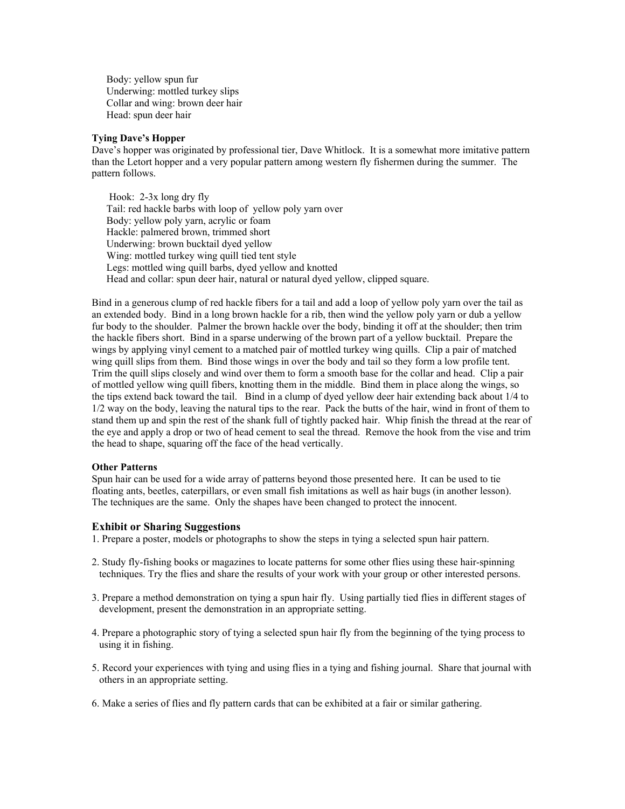Body: yellow spun fur Underwing: mottled turkey slips Collar and wing: brown deer hair Head: spun deer hair

#### **Tying Dave's Hopper**

Dave's hopper was originated by professional tier, Dave Whitlock. It is a somewhat more imitative pattern than the Letort hopper and a very popular pattern among western fly fishermen during the summer. The pattern follows.

 Hook: 2-3x long dry fly Tail: red hackle barbs with loop of yellow poly yarn over Body: yellow poly yarn, acrylic or foam Hackle: palmered brown, trimmed short Underwing: brown bucktail dyed yellow Wing: mottled turkey wing quill tied tent style Legs: mottled wing quill barbs, dyed yellow and knotted Head and collar: spun deer hair, natural or natural dyed yellow, clipped square.

Bind in a generous clump of red hackle fibers for a tail and add a loop of yellow poly yarn over the tail as an extended body. Bind in a long brown hackle for a rib, then wind the yellow poly yarn or dub a yellow fur body to the shoulder. Palmer the brown hackle over the body, binding it off at the shoulder; then trim the hackle fibers short. Bind in a sparse underwing of the brown part of a yellow bucktail. Prepare the wings by applying vinyl cement to a matched pair of mottled turkey wing quills. Clip a pair of matched wing quill slips from them. Bind those wings in over the body and tail so they form a low profile tent. Trim the quill slips closely and wind over them to form a smooth base for the collar and head. Clip a pair of mottled yellow wing quill fibers, knotting them in the middle. Bind them in place along the wings, so the tips extend back toward the tail. Bind in a clump of dyed yellow deer hair extending back about 1/4 to 1/2 way on the body, leaving the natural tips to the rear. Pack the butts of the hair, wind in front of them to stand them up and spin the rest of the shank full of tightly packed hair. Whip finish the thread at the rear of the eye and apply a drop or two of head cement to seal the thread. Remove the hook from the vise and trim the head to shape, squaring off the face of the head vertically.

#### **Other Patterns**

Spun hair can be used for a wide array of patterns beyond those presented here. It can be used to tie floating ants, beetles, caterpillars, or even small fish imitations as well as hair bugs (in another lesson). The techniques are the same. Only the shapes have been changed to protect the innocent.

#### **Exhibit or Sharing Suggestions**

- 1. Prepare a poster, models or photographs to show the steps in tying a selected spun hair pattern.
- 2. Study fly-fishing books or magazines to locate patterns for some other flies using these hair-spinning techniques. Try the flies and share the results of your work with your group or other interested persons.
- 3. Prepare a method demonstration on tying a spun hair fly. Using partially tied flies in different stages of development, present the demonstration in an appropriate setting.
- 4. Prepare a photographic story of tying a selected spun hair fly from the beginning of the tying process to using it in fishing.
- 5. Record your experiences with tying and using flies in a tying and fishing journal. Share that journal with others in an appropriate setting.
- 6. Make a series of flies and fly pattern cards that can be exhibited at a fair or similar gathering.